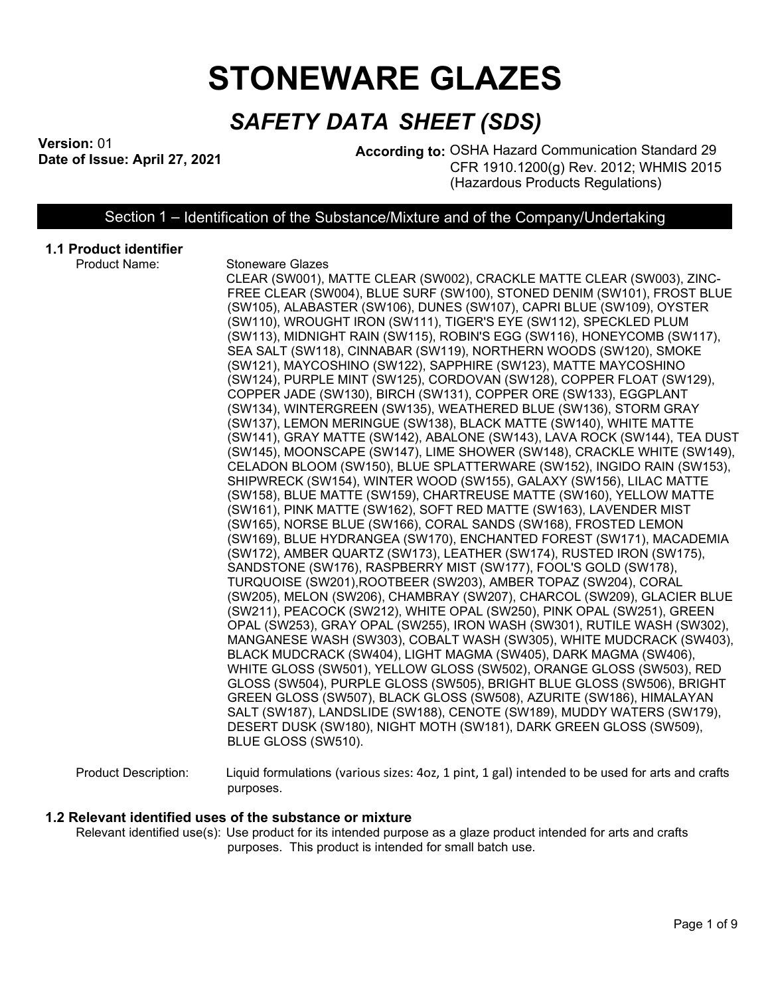# **STONEWARE GLAZES**

# *SAFETY DATA SHEET (SDS)*

**Version:** 01

**According to: OSHA Hazard Communication Standard 29** CFR 1910.1200(g) Rev. 2012; WHMIS 2015 (Hazardous Products Regulations)

Section 1 – Identification of the Substance/Mixture and of the Company/Undertaking

# **1.1 Product identifier**

- 
- **Stoneware Glazes**

CLEAR (SW001), MATTE CLEAR (SW002), CRACKLE MATTE CLEAR (SW003), ZINC-FREE CLEAR (SW004), BLUE SURF (SW100), STONED DENIM (SW101), FROST BLUE (SW105), ALABASTER (SW106), DUNES (SW107), CAPRI BLUE (SW109), OYSTER (SW110), WROUGHT IRON (SW111), TIGER'S EYE (SW112), SPECKLED PLUM (SW113), MIDNIGHT RAIN (SW115), ROBIN'S EGG (SW116), HONEYCOMB (SW117), SEA SALT (SW118), CINNABAR (SW119), NORTHERN WOODS (SW120), SMOKE (SW121), MAYCOSHINO (SW122), SAPPHIRE (SW123), MATTE MAYCOSHINO (SW124), PURPLE MINT (SW125), CORDOVAN (SW128), COPPER FLOAT (SW129), COPPER JADE (SW130), BIRCH (SW131), COPPER ORE (SW133), EGGPLANT (SW134), WINTERGREEN (SW135), WEATHERED BLUE (SW136), STORM GRAY (SW137), LEMON MERINGUE (SW138), BLACK MATTE (SW140), WHITE MATTE (SW141), GRAY MATTE (SW142), ABALONE (SW143), LAVA ROCK (SW144), TEA DUST (SW145), MOONSCAPE (SW147), LIME SHOWER (SW148), CRACKLE WHITE (SW149), CELADON BLOOM (SW150), BLUE SPLATTERWARE (SW152), INGIDO RAIN (SW153), SHIPWRECK (SW154), WINTER WOOD (SW155), GALAXY (SW156), LILAC MATTE (SW158), BLUE MATTE (SW159), CHARTREUSE MATTE (SW160), YELLOW MATTE (SW161), PINK MATTE (SW162), SOFT RED MATTE (SW163), LAVENDER MIST (SW165), NORSE BLUE (SW166), CORAL SANDS (SW168), FROSTED LEMON (SW169), BLUE HYDRANGEA (SW170), ENCHANTED FOREST (SW171), MACADEMIA (SW172), AMBER QUARTZ (SW173), LEATHER (SW174), RUSTED IRON (SW175), SANDSTONE (SW176), RASPBERRY MIST (SW177), FOOL'S GOLD (SW178), TURQUOISE (SW201),ROOTBEER (SW203), AMBER TOPAZ (SW204), CORAL (SW205), MELON (SW206), CHAMBRAY (SW207), CHARCOL (SW209), GLACIER BLUE (SW211), PEACOCK (SW212), WHITE OPAL (SW250), PINK OPAL (SW251), GREEN OPAL (SW253), GRAY OPAL (SW255), IRON WASH (SW301), RUTILE WASH (SW302), MANGANESE WASH (SW303), COBALT WASH (SW305), WHITE MUDCRACK (SW403), BLACK MUDCRACK (SW404), LIGHT MAGMA (SW405), DARK MAGMA (SW406), WHITE GLOSS (SW501), YELLOW GLOSS (SW502), ORANGE GLOSS (SW503), RED GLOSS (SW504), PURPLE GLOSS (SW505), BRIGHT BLUE GLOSS (SW506), BRIGHT GREEN GLOSS (SW507), BLACK GLOSS (SW508), AZURITE (SW186), HIMALAYAN SALT (SW187), LANDSLIDE (SW188), CENOTE (SW189), MUDDY WATERS (SW179), DESERT DUSK (SW180), NIGHT MOTH (SW181), DARK GREEN GLOSS (SW509), BLUE GLOSS (SW510).

Product Description: Liquid formulations (various sizes: 4oz, 1 pint, 1 gal) intended to be used for arts and crafts purposes.

#### **1.2 Relevant identified uses of the substance or mixture**

Relevant identified use(s): Use product for its intended purpose as a glaze product intended for arts and crafts purposes. This product is intended for small batch use.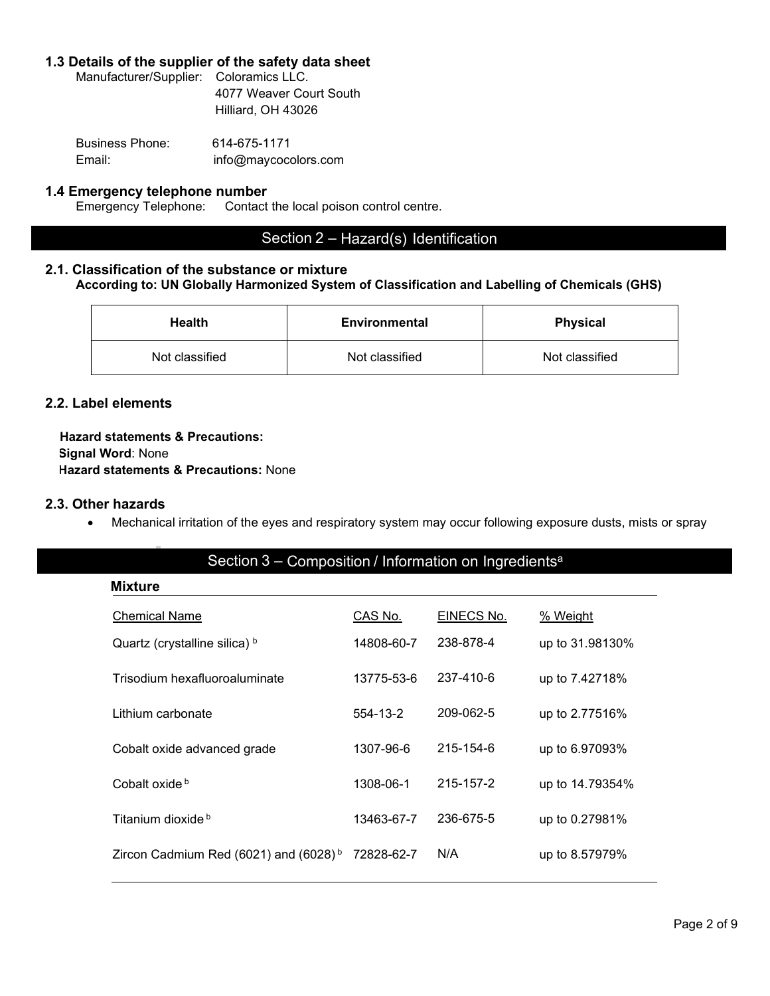#### **1.3 Details of the supplier of the safety data sheet**

Manufacturer/Supplier: Coloramics LLC. 4077 Weaver Court South Hilliard, OH 43026

Business Phone: 614-675-1171 Email: info@maycocolors.com

# **1.4 Emergency telephone number**<br>Emergency Telephone: Contact

Contact the local poison control centre.

# Section 2 – Hazard(s) Identification

# **2.1. Classification of the substance or mixture**

**According to: UN Globally Harmonized System of Classification and Labelling of Chemicals (GHS)**

| Health         | <b>Environmental</b> | <b>Physical</b> |
|----------------|----------------------|-----------------|
| Not classified | Not classified       | Not classified  |

#### **2.2. Label elements**

**Hazard statements & Precautions: Signal Word**: None **Hazard statements & Precautions:** None

#### **2.3. Other hazards**

• Mechanical irritation of the eyes and respiratory system may occur following exposure dusts, mists or spray

# Section 3 – Composition / Information on Ingredients<sup>a</sup>

| <b>Mixture</b>                                    |            |            |                 |
|---------------------------------------------------|------------|------------|-----------------|
| <b>Chemical Name</b>                              | CAS No.    | EINECS No. | <u>% Weight</u> |
| Quartz (crystalline silica) b                     | 14808-60-7 | 238-878-4  | up to 31.98130% |
| Trisodium hexafluoroaluminate                     | 13775-53-6 | 237-410-6  | up to 7.42718%  |
| Lithium carbonate                                 | 554-13-2   | 209-062-5  | up to 2.77516%  |
| Cobalt oxide advanced grade                       | 1307-96-6  | 215-154-6  | up to 6.97093%  |
| Cobalt oxide b                                    | 1308-06-1  | 215-157-2  | up to 14.79354% |
| Titanium dioxide b                                | 13463-67-7 | 236-675-5  | up to 0.27981%  |
| Zircon Cadmium Red (6021) and (6028) <sup>b</sup> | 72828-62-7 | N/A        | up to 8.57979%  |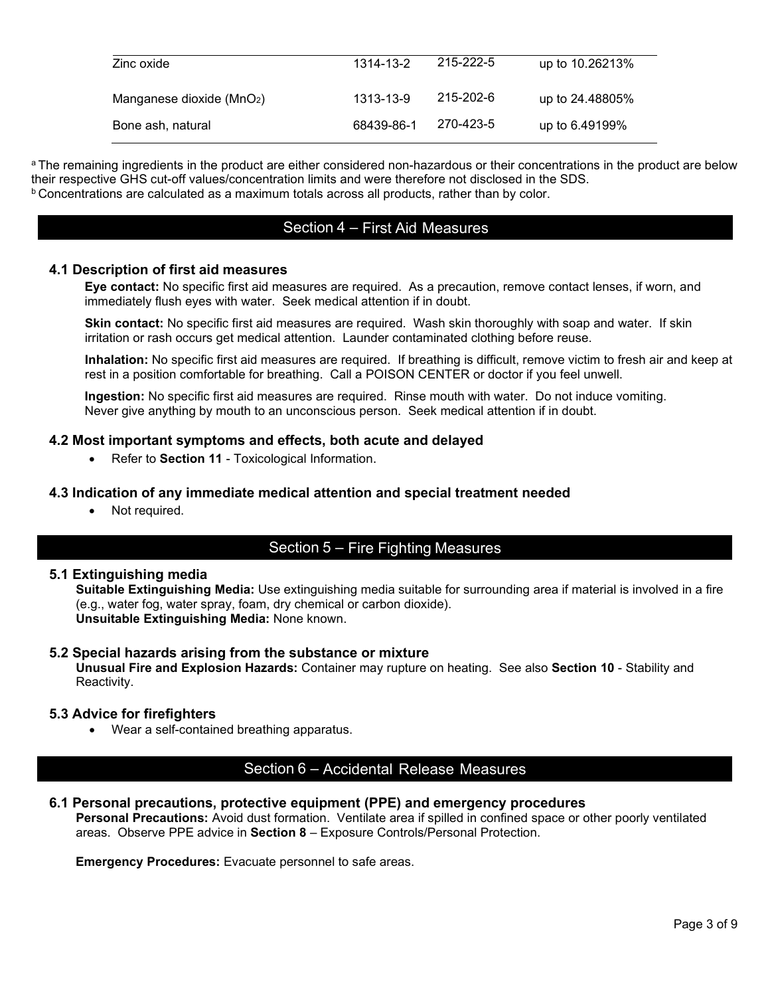| Zinc oxide                   | 1314-13-2  | 215-222-5 | up to 10.26213% |
|------------------------------|------------|-----------|-----------------|
| Manganese dioxide ( $MnO2$ ) | 1313-13-9  | 215-202-6 | up to 24.48805% |
| Bone ash, natural            | 68439-86-1 | 270-423-5 | up to 6.49199%  |

<sup>a</sup> The remaining ingredients in the product are either considered non-hazardous or their concentrations in the product are below their respective GHS cut-off values/concentration limits and were therefore not disclosed in the SDS.  $b$  Concentrations are calculated as a maximum totals across all products, rather than by color.

# Section 4 – First Aid Measures

#### **4.1 Description of first aid measures**

**Eye contact:** No specific first aid measures are required. As a precaution, remove contact lenses, if worn, and immediately flush eyes with water. Seek medical attention if in doubt.

**Skin contact:** No specific first aid measures are required. Wash skin thoroughly with soap and water. If skin irritation or rash occurs get medical attention. Launder contaminated clothing before reuse.

**Inhalation:** No specific first aid measures are required. If breathing is difficult, remove victim to fresh air and keep at rest in a position comfortable for breathing. Call a POISON CENTER or doctor if you feel unwell.

**Ingestion:** No specific first aid measures are required. Rinse mouth with water. Do not induce vomiting. Never give anything by mouth to an unconscious person. Seek medical attention if in doubt.

#### **4.2 Most important symptoms and effects, both acute and delayed**

• Refer to **Section 11** - Toxicological Information.

#### **4.3 Indication of any immediate medical attention and special treatment needed**

Not required.

# Section 5 – Fire Fighting Measures

#### **5.1 Extinguishing media**

**Suitable Extinguishing Media:** Use extinguishing media suitable for surrounding area if material is involved in a fire (e.g., water fog, water spray, foam, dry chemical or carbon dioxide). **Unsuitable Extinguishing Media:** None known.

#### **5.2 Special hazards arising from the substance or mixture**

**Unusual Fire and Explosion Hazards:** Container may rupture on heating. See also **Section 10** - Stability and Reactivity.

#### **5.3 Advice for firefighters**

• Wear a self-contained breathing apparatus.

### Section 6 – Accidental Release Measures

**6.1 Personal precautions, protective equipment (PPE) and emergency procedures**

**Personal Precautions:** Avoid dust formation. Ventilate area if spilled in confined space or other poorly ventilated areas. Observe PPE advice in **Section 8** – Exposure Controls/Personal Protection.

**Emergency Procedures:** Evacuate personnel to safe areas.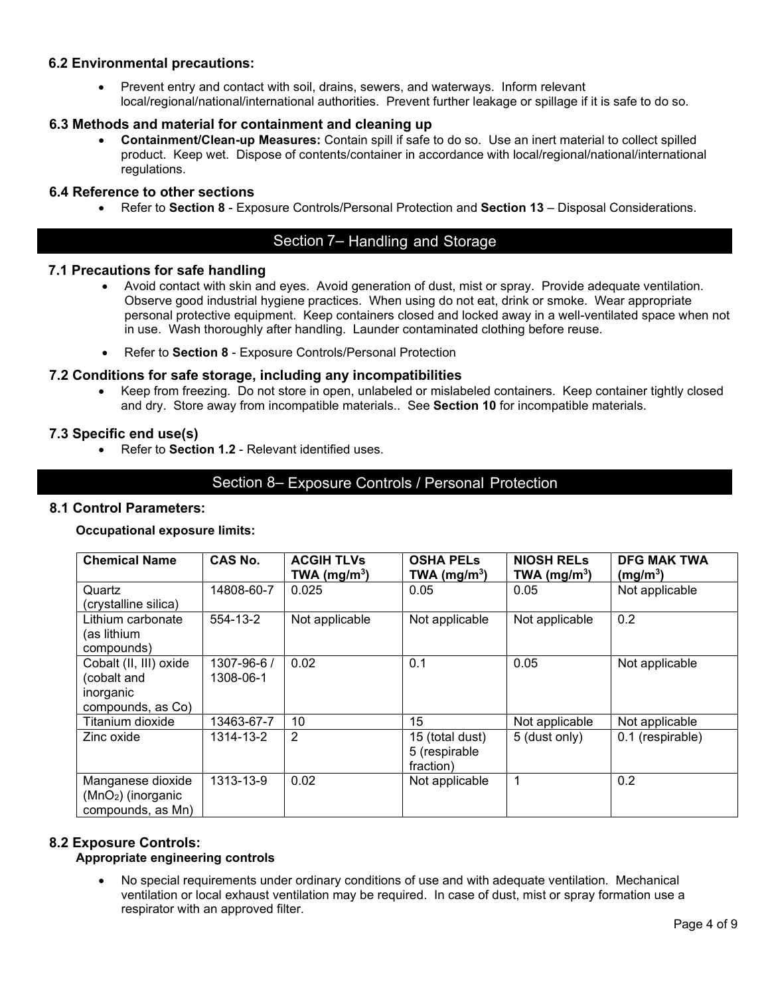#### **6.2 Environmental precautions:**

• Prevent entry and contact with soil, drains, sewers, and waterways. Inform relevant local/regional/national/international authorities. Prevent further leakage or spillage if it is safe to do so.

#### **6.3 Methods and material for containment and cleaning up**

• **Containment/Clean-up Measures:** Contain spill if safe to do so. Use an inert material to collect spilled product. Keep wet. Dispose of contents/container in accordance with local/regional/national/international regulations.

#### **6.4 Reference to other sections**

• Refer to **Section 8** - Exposure Controls/Personal Protection and **Section 13** – Disposal Considerations.

# Section 7– Handling and Storage

#### **7.1 Precautions for safe handling**

- Avoid contact with skin and eyes. Avoid generation of dust, mist or spray. Provide adequate ventilation. Observe good industrial hygiene practices. When using do not eat, drink or smoke. Wear appropriate personal protective equipment. Keep containers closed and locked away in a well-ventilated space when not in use. Wash thoroughly after handling. Launder contaminated clothing before reuse.
- Refer to **Section 8** Exposure Controls/Personal Protection

#### **7.2 Conditions for safe storage, including any incompatibilities**

• Keep from freezing. Do not store in open, unlabeled or mislabeled containers. Keep container tightly closed and dry. Store away from incompatible materials.. See **Section 10** for incompatible materials.

#### **7.3 Specific end use(s)**

• Refer to **Section 1.2** - Relevant identified uses.

#### Section 8– Exposure Controls / Personal Protection

#### **8.1 Control Parameters:**

#### **Occupational exposure limits:**

| <b>Chemical Name</b>                                                    | <b>CAS No.</b>           | <b>ACGIH TLVs</b><br>TWA (mg/m <sup>3</sup> ) | <b>OSHA PELS</b><br>TWA ( $mg/m3$ )           | <b>NIOSH RELS</b><br>TWA (mg/m <sup>3</sup> ) | <b>DFG MAK TWA</b><br>(mg/m <sup>3</sup> ) |
|-------------------------------------------------------------------------|--------------------------|-----------------------------------------------|-----------------------------------------------|-----------------------------------------------|--------------------------------------------|
| Quartz<br>(crystalline silica)                                          | 14808-60-7               | 0.025                                         | 0.05                                          | 0.05                                          | Not applicable                             |
| Lithium carbonate<br>(as lithium<br>compounds)                          | 554-13-2                 | Not applicable                                | Not applicable                                | Not applicable                                | 0.2                                        |
| Cobalt (II, III) oxide<br>(cobalt and<br>inorganic<br>compounds, as Co) | 1307-96-6 /<br>1308-06-1 | 0.02                                          | 0.1                                           | 0.05                                          | Not applicable                             |
| Titanium dioxide                                                        | 13463-67-7               | 10                                            | 15                                            | Not applicable                                | Not applicable                             |
| Zinc oxide                                                              | 1314-13-2                | 2                                             | 15 (total dust)<br>5 (respirable<br>fraction) | 5 (dust only)                                 | 0.1 (respirable)                           |
| Manganese dioxide<br>$(MnO2)$ (inorganic<br>compounds, as Mn)           | 1313-13-9                | 0.02                                          | Not applicable                                | 1                                             | 0.2                                        |

#### **8.2 Exposure Controls:**

### **Appropriate engineering controls**

• No special requirements under ordinary conditions of use and with adequate ventilation. Mechanical ventilation or local exhaust ventilation may be required. In case of dust, mist or spray formation use a respirator with an approved filter.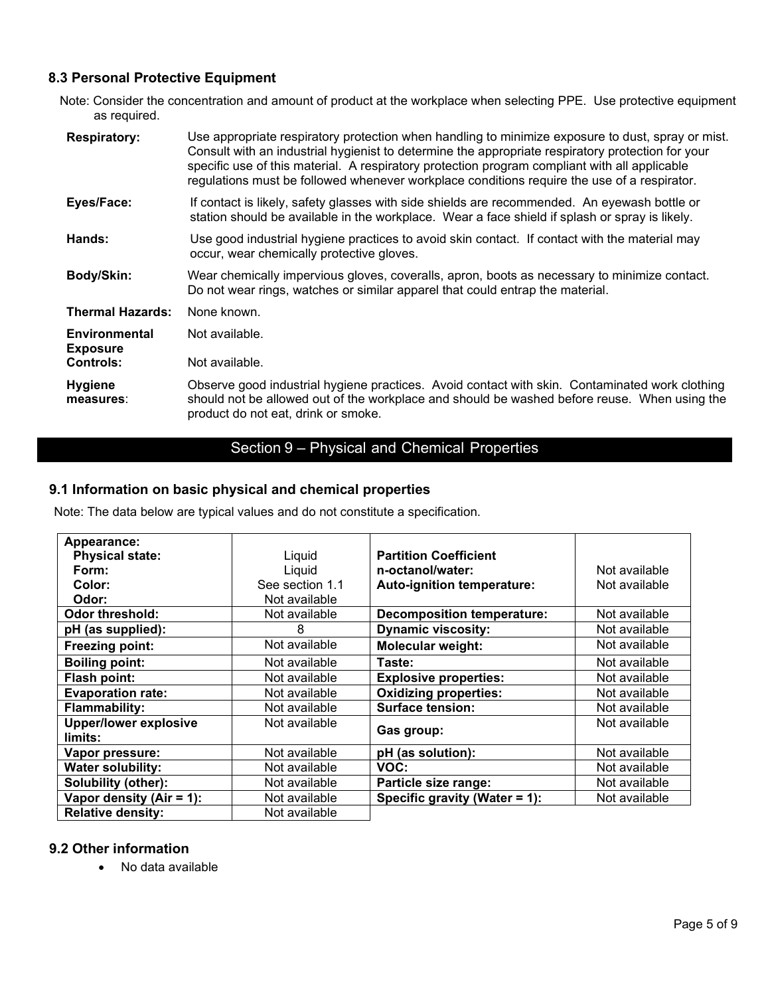# **8.3 Personal Protective Equipment**

Note: Consider the concentration and amount of product at the workplace when selecting PPE. Use protective equipment as required.

| <b>Respiratory:</b>                     | Use appropriate respiratory protection when handling to minimize exposure to dust, spray or mist.<br>Consult with an industrial hygienist to determine the appropriate respiratory protection for your<br>specific use of this material. A respiratory protection program compliant with all applicable<br>regulations must be followed whenever workplace conditions require the use of a respirator. |
|-----------------------------------------|--------------------------------------------------------------------------------------------------------------------------------------------------------------------------------------------------------------------------------------------------------------------------------------------------------------------------------------------------------------------------------------------------------|
| Eyes/Face:                              | If contact is likely, safety glasses with side shields are recommended. An eyewash bottle or<br>station should be available in the workplace. Wear a face shield if splash or spray is likely.                                                                                                                                                                                                         |
| Hands:                                  | Use good industrial hygiene practices to avoid skin contact. If contact with the material may<br>occur, wear chemically protective gloves.                                                                                                                                                                                                                                                             |
| Body/Skin:                              | Wear chemically impervious gloves, coveralls, apron, boots as necessary to minimize contact.<br>Do not wear rings, watches or similar apparel that could entrap the material.                                                                                                                                                                                                                          |
| <b>Thermal Hazards:</b>                 | None known.                                                                                                                                                                                                                                                                                                                                                                                            |
| <b>Environmental</b><br><b>Exposure</b> | Not available.                                                                                                                                                                                                                                                                                                                                                                                         |
| <b>Controls:</b>                        | Not available.                                                                                                                                                                                                                                                                                                                                                                                         |
| <b>Hygiene</b><br>measures:             | Observe good industrial hygiene practices. Avoid contact with skin. Contaminated work clothing<br>should not be allowed out of the workplace and should be washed before reuse. When using the<br>product do not eat, drink or smoke.                                                                                                                                                                  |

# Section 9 – Physical and Chemical Properties

# **9.1 Information on basic physical and chemical properties**

Note: The data below are typical values and do not constitute a specification.

| Appearance:                             |                 |                                   |               |
|-----------------------------------------|-----------------|-----------------------------------|---------------|
| <b>Physical state:</b>                  | Liquid          | <b>Partition Coefficient</b>      |               |
| Form:                                   | Liquid          | n-octanol/water:                  | Not available |
| Color:                                  | See section 1.1 | Auto-ignition temperature:        | Not available |
| Odor:                                   | Not available   |                                   |               |
| <b>Odor threshold:</b>                  | Not available   | <b>Decomposition temperature:</b> | Not available |
| pH (as supplied):                       | 8               | <b>Dynamic viscosity:</b>         | Not available |
| Freezing point:                         | Not available   | <b>Molecular weight:</b>          | Not available |
| <b>Boiling point:</b>                   | Not available   | Taste:                            | Not available |
| Flash point:                            | Not available   | <b>Explosive properties:</b>      | Not available |
| <b>Evaporation rate:</b>                | Not available   | <b>Oxidizing properties:</b>      | Not available |
| <b>Flammability:</b>                    | Not available   | <b>Surface tension:</b>           | Not available |
| <b>Upper/lower explosive</b><br>limits: | Not available   | Gas group:                        | Not available |
| Vapor pressure:                         | Not available   | pH (as solution):                 | Not available |
| <b>Water solubility:</b>                | Not available   | VOC:                              | Not available |
| <b>Solubility (other):</b>              | Not available   | Particle size range:              | Not available |
| Vapor density $(Air = 1)$ :             | Not available   | Specific gravity (Water = 1):     | Not available |
| <b>Relative density:</b>                | Not available   |                                   |               |

#### **9.2 Other information**

• No data available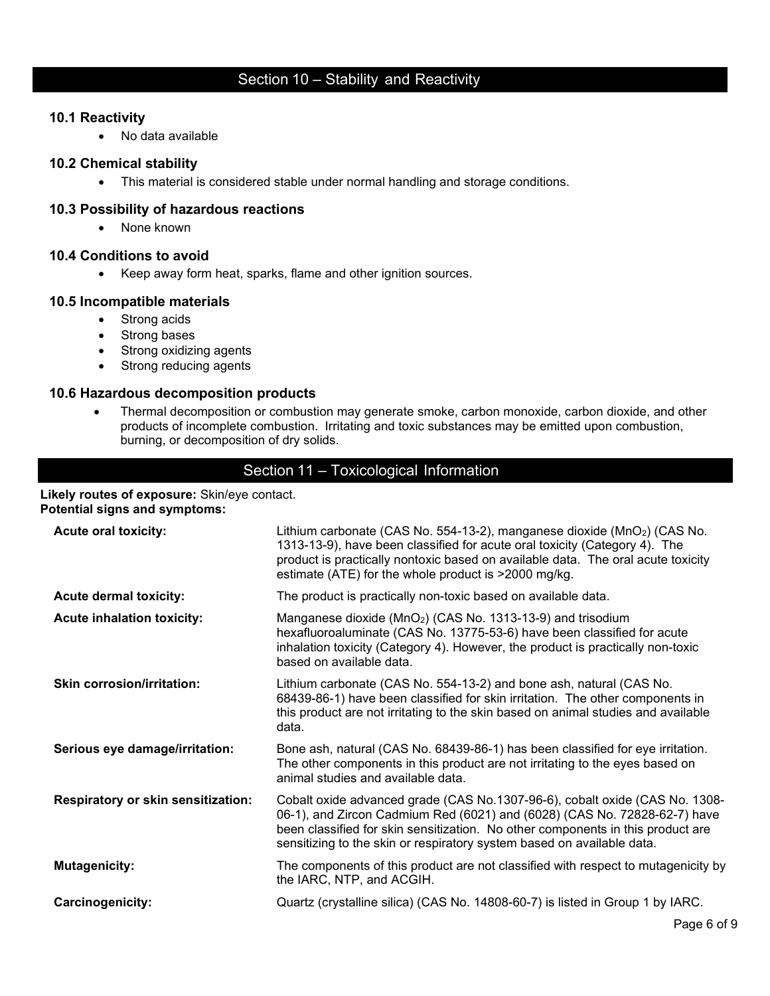#### **10.1 Reactivity**

• No data available

#### **10.2 Chemical stability**

• This material is considered stable under normal handling and storage conditions.

#### **10.3 Possibility of hazardous reactions**

• None known

#### **10.4 Conditions to avoid**

• Keep away form heat, sparks, flame and other ignition sources.

#### **10.5 Incompatible materials**

- Strong acids
- Strong bases
- Strong oxidizing agents
- Strong reducing agents

#### **10.6 Hazardous decomposition products**

• Thermal decomposition or combustion may generate smoke, carbon monoxide, carbon dioxide, and other products of incomplete combustion. Irritating and toxic substances may be emitted upon combustion, burning, or decomposition of dry solids.

# Section 11 – Toxicological Information

#### **Likely routes of exposure:** Skin/eye contact. **Potential signs and symptoms:**

| <b>Acute oral toxicity:</b>               | Lithium carbonate (CAS No. 554-13-2), manganese dioxide (MnO2) (CAS No.<br>1313-13-9), have been classified for acute oral toxicity (Category 4). The<br>product is practically nontoxic based on available data. The oral acute toxicity<br>estimate (ATE) for the whole product is >2000 mg/kg.                     |
|-------------------------------------------|-----------------------------------------------------------------------------------------------------------------------------------------------------------------------------------------------------------------------------------------------------------------------------------------------------------------------|
| <b>Acute dermal toxicity:</b>             | The product is practically non-toxic based on available data.                                                                                                                                                                                                                                                         |
| <b>Acute inhalation toxicity:</b>         | Manganese dioxide (MnO <sub>2</sub> ) (CAS No. 1313-13-9) and trisodium<br>hexafluoroaluminate (CAS No. 13775-53-6) have been classified for acute<br>inhalation toxicity (Category 4). However, the product is practically non-toxic<br>based on available data.                                                     |
| <b>Skin corrosion/irritation:</b>         | Lithium carbonate (CAS No. 554-13-2) and bone ash, natural (CAS No.<br>68439-86-1) have been classified for skin irritation. The other components in<br>this product are not irritating to the skin based on animal studies and available<br>data.                                                                    |
| Serious eye damage/irritation:            | Bone ash, natural (CAS No. 68439-86-1) has been classified for eye irritation.<br>The other components in this product are not irritating to the eyes based on<br>animal studies and available data.                                                                                                                  |
| <b>Respiratory or skin sensitization:</b> | Cobalt oxide advanced grade (CAS No.1307-96-6), cobalt oxide (CAS No. 1308-<br>06-1), and Zircon Cadmium Red (6021) and (6028) (CAS No. 72828-62-7) have<br>been classified for skin sensitization. No other components in this product are<br>sensitizing to the skin or respiratory system based on available data. |
| <b>Mutagenicity:</b>                      | The components of this product are not classified with respect to mutagenicity by<br>the IARC, NTP, and ACGIH.                                                                                                                                                                                                        |
| <b>Carcinogenicity:</b>                   | Quartz (crystalline silica) (CAS No. 14808-60-7) is listed in Group 1 by IARC.                                                                                                                                                                                                                                        |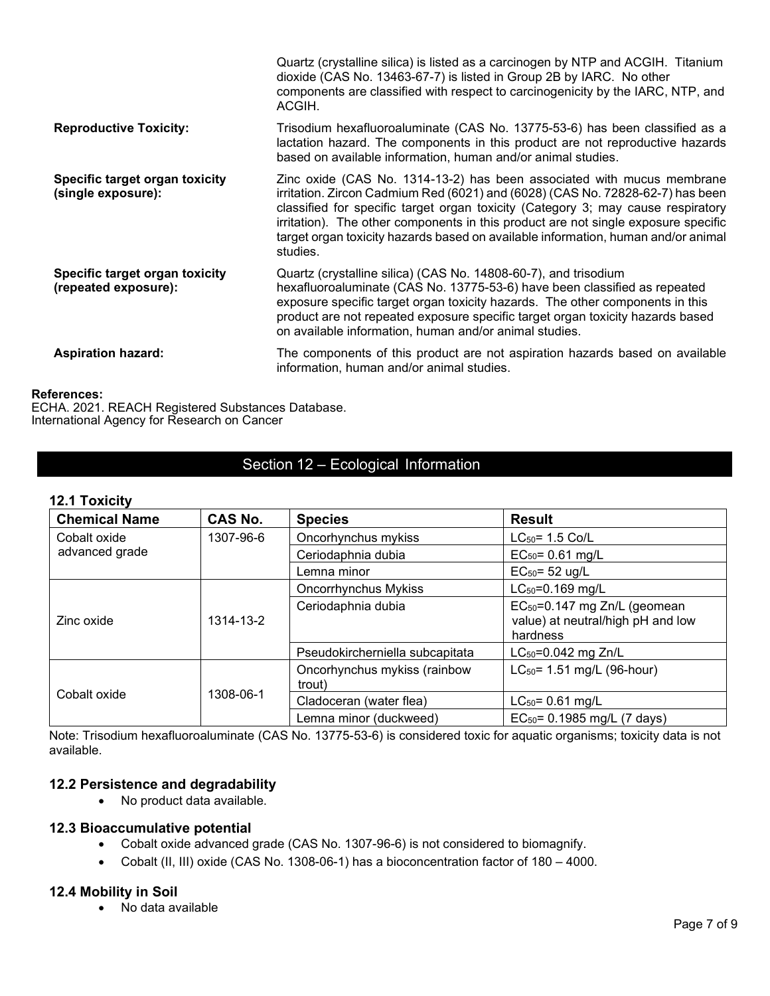|                                                        | Quartz (crystalline silica) is listed as a carcinogen by NTP and ACGIH. Titanium<br>dioxide (CAS No. 13463-67-7) is listed in Group 2B by IARC. No other<br>components are classified with respect to carcinogenicity by the IARC, NTP, and<br>ACGIH.                                                                                                                                                                               |
|--------------------------------------------------------|-------------------------------------------------------------------------------------------------------------------------------------------------------------------------------------------------------------------------------------------------------------------------------------------------------------------------------------------------------------------------------------------------------------------------------------|
| <b>Reproductive Toxicity:</b>                          | Trisodium hexafluoroaluminate (CAS No. 13775-53-6) has been classified as a<br>lactation hazard. The components in this product are not reproductive hazards<br>based on available information, human and/or animal studies.                                                                                                                                                                                                        |
| Specific target organ toxicity<br>(single exposure):   | Zinc oxide (CAS No. 1314-13-2) has been associated with mucus membrane<br>irritation. Zircon Cadmium Red (6021) and (6028) (CAS No. 72828-62-7) has been<br>classified for specific target organ toxicity (Category 3; may cause respiratory<br>irritation). The other components in this product are not single exposure specific<br>target organ toxicity hazards based on available information, human and/or animal<br>studies. |
| Specific target organ toxicity<br>(repeated exposure): | Quartz (crystalline silica) (CAS No. 14808-60-7), and trisodium<br>hexafluoroaluminate (CAS No. 13775-53-6) have been classified as repeated<br>exposure specific target organ toxicity hazards. The other components in this<br>product are not repeated exposure specific target organ toxicity hazards based<br>on available information, human and/or animal studies.                                                           |
| <b>Aspiration hazard:</b>                              | The components of this product are not aspiration hazards based on available<br>information, human and/or animal studies.                                                                                                                                                                                                                                                                                                           |

#### **References:**

ECHA. 2021. REACH Registered Substances Database. International Agency for Research on Cancer

# Section 12 – Ecological Information

#### **12.1 Toxicity**

| <b>Chemical Name</b>      | <b>CAS No.</b> | <b>Species</b>                         | <b>Result</b>                                                                             |
|---------------------------|----------------|----------------------------------------|-------------------------------------------------------------------------------------------|
| Cobalt oxide<br>1307-96-6 |                | Oncorhynchus mykiss                    | $LC_{50} = 1.5$ Co/L                                                                      |
| advanced grade            |                | Ceriodaphnia dubia                     | $EC_{50} = 0.61$ mg/L                                                                     |
|                           |                | Lemna minor                            | $EC_{50} = 52$ ug/L                                                                       |
|                           |                | <b>Oncorrhynchus Mykiss</b>            | $LC_{50} = 0.169$ mg/L                                                                    |
| Zinc oxide                | 1314-13-2      | Ceriodaphnia dubia                     | EC <sub>50</sub> =0.147 mg Zn/L (geomean<br>value) at neutral/high pH and low<br>hardness |
|                           |                | Pseudokircherniella subcapitata        | $LC_{50} = 0.042$ mg Zn/L                                                                 |
|                           | 1308-06-1      | Oncorhynchus mykiss (rainbow<br>trout) | $LC_{50}$ = 1.51 mg/L (96-hour)                                                           |
| Cobalt oxide              |                | Cladoceran (water flea)                | $LC_{50} = 0.61$ mg/L                                                                     |
|                           |                | Lemna minor (duckweed)                 | $EC_{50} = 0.1985$ mg/L (7 days)                                                          |

Note: Trisodium hexafluoroaluminate (CAS No. 13775-53-6) is considered toxic for aquatic organisms; toxicity data is not available.

#### **12.2 Persistence and degradability**

• No product data available.

#### **12.3 Bioaccumulative potential**

- Cobalt oxide advanced grade (CAS No. 1307-96-6) is not considered to biomagnify.
- Cobalt (II, III) oxide (CAS No. 1308-06-1) has a bioconcentration factor of 180 4000.

#### **12.4 Mobility in Soil**

• No data available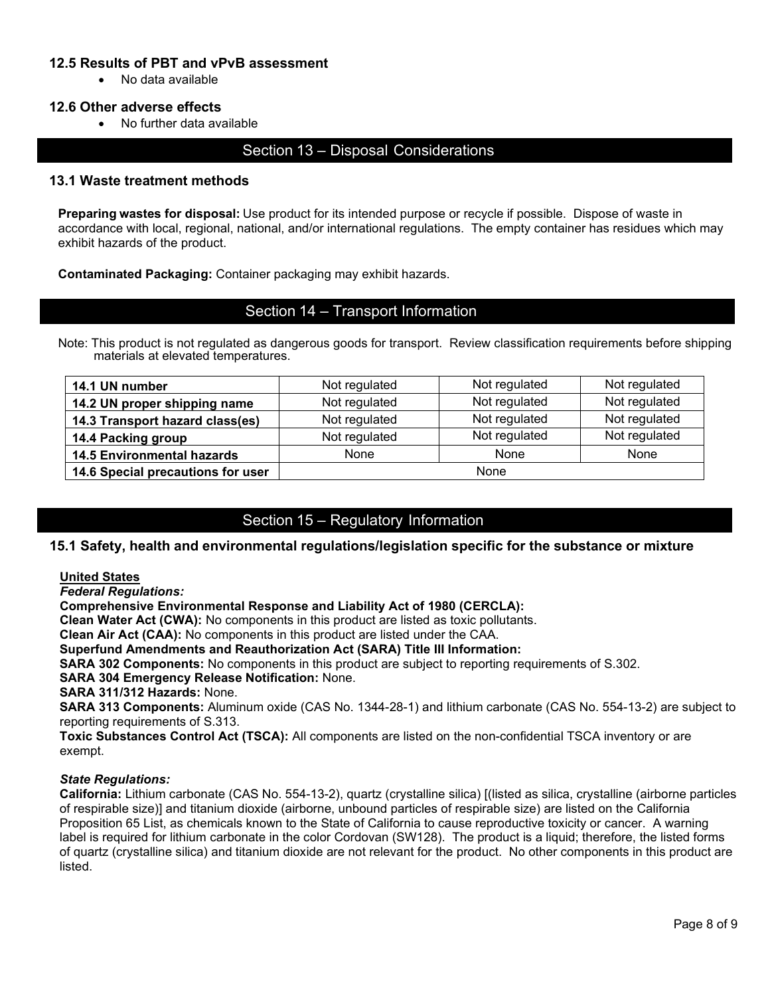#### **12.5 Results of PBT and vPvB assessment**

• No data available

#### **12.6 Other adverse effects**

• No further data available

#### Section 13 – Disposal Considerations

#### **13.1 Waste treatment methods**

**Preparing wastes for disposal:** Use product for its intended purpose or recycle if possible. Dispose of waste in accordance with local, regional, national, and/or international regulations. The empty container has residues which may exhibit hazards of the product.

**Contaminated Packaging:** Container packaging may exhibit hazards.

#### Section 14 – Transport Information

Note: This product is not regulated as dangerous goods for transport. Review classification requirements before shipping materials at elevated temperatures.

| 14.1 UN number                    | Not regulated | Not regulated | Not regulated |
|-----------------------------------|---------------|---------------|---------------|
| 14.2 UN proper shipping name      | Not regulated | Not regulated | Not regulated |
| 14.3 Transport hazard class(es)   | Not regulated | Not regulated | Not regulated |
| 14.4 Packing group                | Not regulated | Not regulated | Not regulated |
| <b>14.5 Environmental hazards</b> | None          | None          | None          |
| 14.6 Special precautions for user | None          |               |               |

### Section 15 – Regulatory Information

#### **15.1 Safety, health and environmental regulations/legislation specific for the substance or mixture**

#### **United States**

*Federal Regulations:*

**Comprehensive Environmental Response and Liability Act of 1980 (CERCLA):**

**Clean Water Act (CWA):** No components in this product are listed as toxic pollutants.

**Clean Air Act (CAA):** No components in this product are listed under the CAA.

**Superfund Amendments and Reauthorization Act (SARA) Title III Information:**

**SARA 302 Components:** No components in this product are subject to reporting requirements of S.302.

**SARA 304 Emergency Release Notification:** None.

**SARA 311/312 Hazards:** None.

**SARA 313 Components:** Aluminum oxide (CAS No. 1344-28-1) and lithium carbonate (CAS No. 554-13-2) are subject to reporting requirements of S.313.

**Toxic Substances Control Act (TSCA):** All components are listed on the non-confidential TSCA inventory or are exempt.

#### *State Regulations:*

**California:** Lithium carbonate (CAS No. 554-13-2), quartz (crystalline silica) [(listed as silica, crystalline (airborne particles of respirable size)] and titanium dioxide (airborne, unbound particles of respirable size) are listed on the California Proposition 65 List, as chemicals known to the State of California to cause reproductive toxicity or cancer. A warning label is required for lithium carbonate in the color Cordovan (SW128). The product is a liquid; therefore, the listed forms of quartz (crystalline silica) and titanium dioxide are not relevant for the product. No other components in this product are listed.